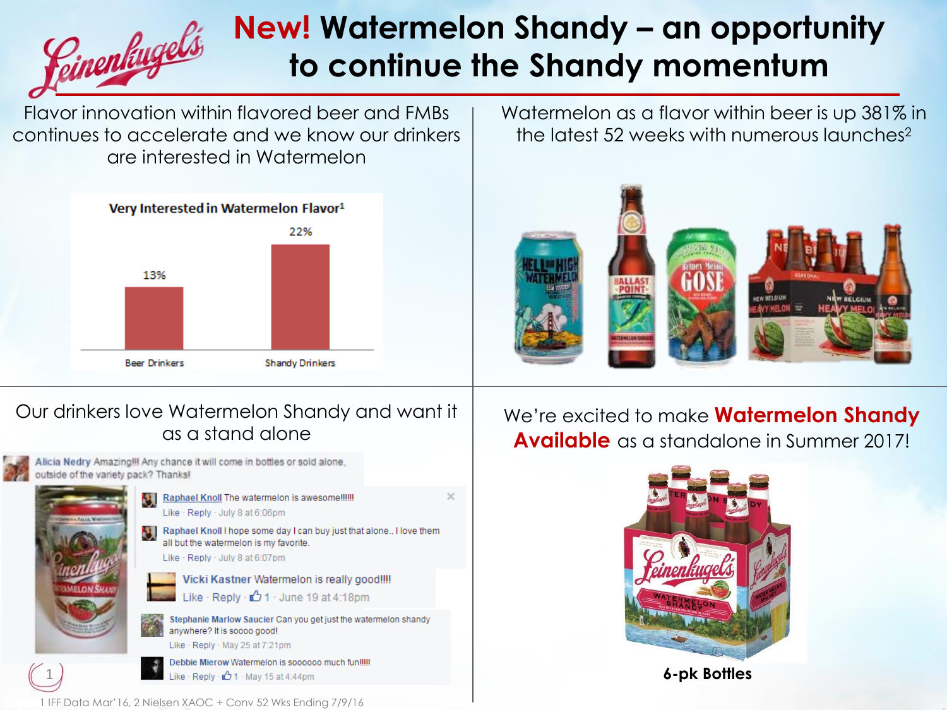### **New! Watermelon Shandy – an opportunity**  <u>Seinenlingels</u> **to continue the Shandy momentum**

Flavor innovation within flavored beer and FMBs continues to accelerate and we know our drinkers are interested in Watermelon



Watermelon as a flavor within beer is up 381% in the latest 52 weeks with numerous launches<sup>2</sup>



#### Our drinkers love Watermelon Shandy and want it as a stand alone



Alicia Nedry Amazing!!! Any chance it will come in bottles or sold alone, outside of the variety pack? Thanks!



1

Raphael Knoll The watermelon is awesome !!!!!! Like · Reply · July 8 at 6:06pm

> Raphael Knoll I hope some day I can buy just that alone.. I love them all but the watermelon is my favorite. Like · Reply · July 8 at 6:07pm

 $\times$ 

Vicki Kastner Watermelon is really good!!!! Like · Reply ·  $\Box$  1 · June 19 at 4:18pm

Stephanie Marlow Saucier Can you get just the watermelon shandy anywhere? It is soooo good! Like · Reply · May 25 at 7:21pm

Debbie Mierow Watermelon is soooooo much fun!!!!! Like · Reply · **1** 1 · May 15 at 4:44pm

We're excited to make **Watermelon Shandy Available** as a standalone in Summer 2017!



**6-pk Bottles**

1 IFF Data Mar'16, 2 Nielsen XAOC + Conv 52 Wks Ending 7/9/16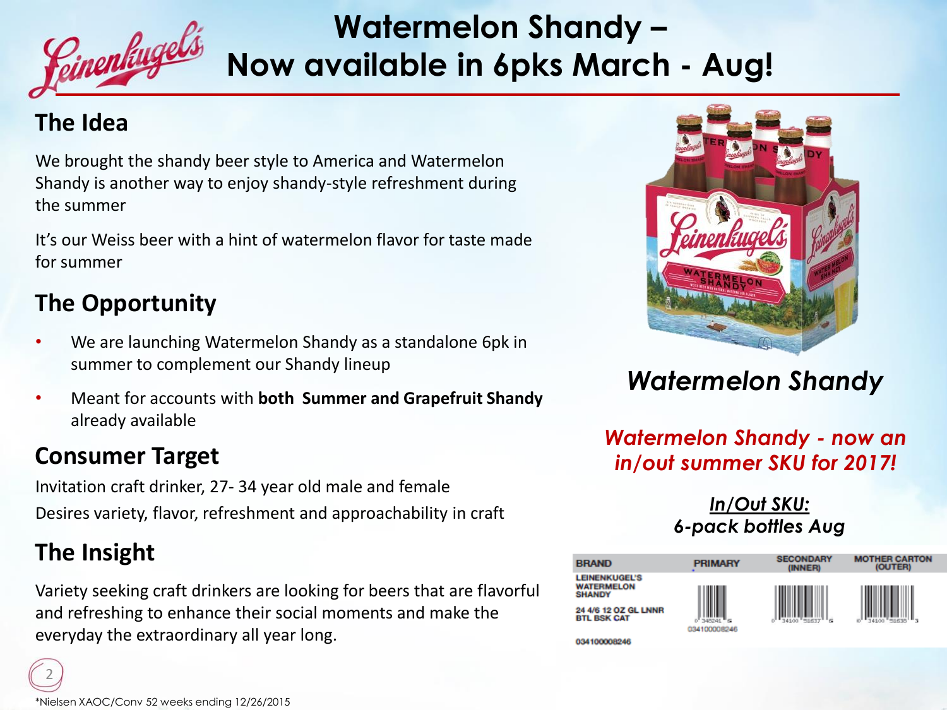

# **Watermelon Shandy – Now available in 6pks March - Aug!**

#### **The Idea**

We brought the shandy beer style to America and Watermelon Shandy is another way to enjoy shandy-style refreshment during the summer

It's our Weiss beer with a hint of watermelon flavor for taste made for summer

### **The Opportunity**

- We are launching Watermelon Shandy as a standalone 6pk in summer to complement our Shandy lineup
- Meant for accounts with **both Summer and Grapefruit Shandy** already available

#### **Consumer Target**

Invitation craft drinker, 27- 34 year old male and female Desires variety, flavor, refreshment and approachability in craft

### **The Insight**

2

Variety seeking craft drinkers are looking for beers that are flavorful and refreshing to enhance their social moments and make the everyday the extraordinary all year long.



## *Watermelon Shandy*

*Watermelon Shandy - now an in/out summer SKU for 2017!*

#### *In/Out SKU: 6-pack bottles Aug*